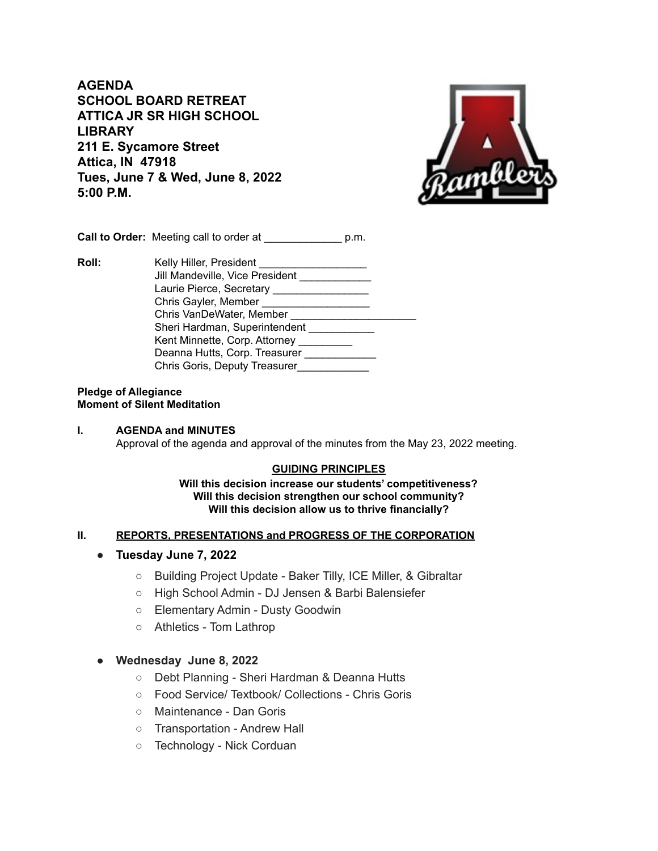**AGENDA SCHOOL BOARD RETREAT ATTICA JR SR HIGH SCHOOL LIBRARY 211 E. Sycamore Street Attica, IN 47918 Tues, June 7 & Wed, June 8, 2022 5:00 P.M.**



**Call to Order:** Meeting call to order at  $p.m.$ 

**Roll:** Kelly Hiller, President Jill Mandeville, Vice President \_\_\_\_\_\_\_\_\_\_\_\_ Laurie Pierce, Secretary \_\_\_\_\_\_\_\_\_\_\_\_\_\_\_\_\_\_\_ Chris Gayler, Member \_\_\_\_\_\_\_\_\_\_\_\_\_\_\_\_\_\_ Chris VanDeWater, Member \_\_\_\_\_\_\_\_\_\_\_\_\_\_\_ Sheri Hardman, Superintendent \_\_\_\_\_\_\_\_\_\_\_\_ Kent Minnette, Corp. Attorney \_\_\_\_\_\_\_\_\_ Deanna Hutts, Corp. Treasurer \_\_\_\_\_\_\_\_\_\_\_\_ Chris Goris, Deputy Treasurer\_\_\_\_\_\_\_\_\_\_\_\_\_

#### **Pledge of Allegiance Moment of Silent Meditation**

#### **I. AGENDA and MINUTES** Approval of the agenda and approval of the minutes from the May 23, 2022 meeting.

### **GUIDING PRINCIPLES**

#### **Will this decision increase our students' competitiveness? Will this decision strengthen our school community? Will this decision allow us to thrive financially?**

### **II. REPORTS, PRESENTATIONS and PROGRESS OF THE CORPORATION**

- *●* **Tuesday June 7, 2022**
	- Building Project Update Baker Tilly, ICE Miller, & Gibraltar
	- High School Admin DJ Jensen & Barbi Balensiefer
	- Elementary Admin Dusty Goodwin
	- Athletics Tom Lathrop

### **● Wednesday June 8, 2022**

- Debt Planning Sheri Hardman & Deanna Hutts
- Food Service/ Textbook/ Collections Chris Goris
- Maintenance Dan Goris
- Transportation Andrew Hall
- Technology Nick Corduan